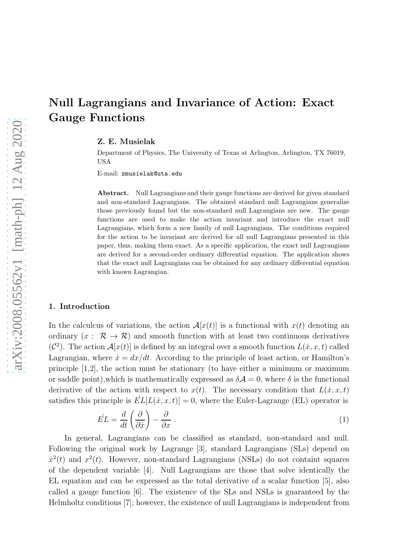# Null Lagrangians and Invariance of Action: Exact Gauge Functions

Z. E. Musielak

Department of Physics, The University of Texas at Arlington, Arlington, TX 76019, USA

E-mail: zmusielak@uta.edu

Abstract. Null Lagrangians and their gauge functions are derived for given standard and non-standard Lagrangians. The obtained standard null Lagrangians generalize those previously found but the non-standard null Lagrangians are new. The gauge functions are used to make the action invariant and introduce the exact null Lagrangians, which form a new family of null Lagrangians. The conditions required for the action to be invariant are derived for all null Lagrangians presented in this paper, thus, making them exact. As a specific application, the exact null Lagrangians are derived for a second-order ordinary differential equation. The application shows that the exact null Lagrangians can be obtained for any ordinary differential equation with known Lagrangian.

#### 1. Introduction

In the calculcus of variations, the action  $\mathcal{A}[x(t)]$  is a functional with  $x(t)$  denoting an ordinary  $(x : \mathcal{R} \to \mathcal{R})$  and smooth function with at least two continuous derivatives  $(C^2)$ . The action  $\mathcal{A}[x(t)]$  is defined by an integral over a smooth function  $L(x, x, t)$  called Lagrangian, where  $\dot{x} = dx/dt$ . According to the principle of least action, or Hamilton's principle [1,2], the action must be stationary (to have either a minimum or maximum or saddle point), which is mathematically expressed as  $\delta A = 0$ , where  $\delta$  is the functional derivative of the action with respect to  $x(t)$ . The necessary condition that  $L(\dot{x}, x, t)$ satisfies this principle is  $EL[L(x, x, t)] = 0$ , where the Euler-Lagrange (EL) operator is

$$
\hat{EL} = \frac{d}{dt} \left( \frac{\partial}{\partial \dot{x}} \right) - \frac{\partial}{\partial x} \tag{1}
$$

In general, Lagrangians can be classified as standard, non-standard and null. Following the original work by Lagrange [3], standard Lagrangians (SLs) depend on  $\dot{x}^2(t)$  and  $x^2(t)$ . However, non-standard Lagrangians (NSLs) do not containt squares of the dependent variable [4]. Null Lagrangians are those that solve identically the EL equation and can be expressed as the total derivative of a scalar function [5], also called a gauge function [6]. The existence of the SLs and NSLs is guaranteed by the Helmholtz conditions [7]; however, the existence of null Lagrangians is independent from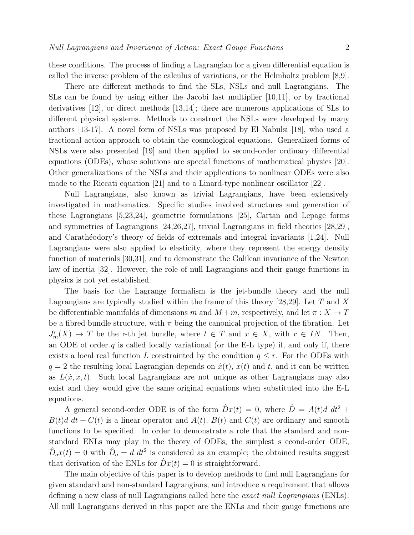these conditions. The process of finding a Lagrangian for a given differential equation is called the inverse problem of the calculus of variations, or the Helmholtz problem [8,9].

There are different methods to find the SLs, NSLs and null Lagrangians. The SLs can be found by using either the Jacobi last multiplier [10,11], or by fractional derivatives [12], or direct methods [13,14]; there are numerous applications of SLs to different physical systems. Methods to construct the NSLs were developed by many authors [13-17]. A novel form of NSLs was proposed by El Nabulsi [18], who used a fractional action approach to obtain the cosmological equations. Generalized forms of NSLs were also presented [19] and then applied to second-order ordinary differential equations (ODEs), whose solutions are special functions of mathematical physics [20]. Other generalizations of the NSLs and their applications to nonlinear ODEs were also made to the Riccati equation [21] and to a Linard-type nonlinear oscillator [22].

Null Lagrangians, also known as trivial Lagrangians, have been extensively investigated in mathematics. Specific studies involved structures and generation of these Lagrangians [5,23,24], geometric formulations [25], Cartan and Lepage forms and symmetries of Lagrangians [24,26,27], trivial Lagrangians in field theories [28,29], and Carathéodory's theory of fields of extremals and integral invariants [1,24]. Null Lagrangians were also applied to elasticity, where they represent the energy density function of materials [30,31], and to demonstrate the Galilean invariance of the Newton law of inertia [32]. However, the role of null Lagrangians and their gauge functions in physics is not yet established.

The basis for the Lagrange formalism is the jet-bundle theory and the null Lagrangians are typically studied within the frame of this theory [28,29]. Let T and X be differentiable manifolds of dimensions m and  $M+m$ , respectively, and let  $\pi: X \to T$ be a fibred bundle structure, with  $\pi$  being the canonical projection of the fibration. Let  $J_m^r(X) \to T$  be the r-th jet bundle, where  $t \in T$  and  $x \in X$ , with  $r \in IN$ . Then, an ODE of order  $q$  is called locally variational (or the E-L type) if, and only if, there exists a local real function L constrainted by the condition  $q \leq r$ . For the ODEs with  $q = 2$  the resulting local Lagrangian depends on  $\dot{x}(t)$ ,  $x(t)$  and t, and it can be written as  $L(x, x, t)$ . Such local Lagrangians are not unique as other Lagrangians may also exist and they would give the same original equations when substituted into the E-L equations.

A general second-order ODE is of the form  $\hat{D}x(t) = 0$ , where  $\hat{D} = A(t)d dt^2 +$  $B(t)d\ dt + C(t)$  is a linear operator and  $A(t)$ ,  $B(t)$  and  $C(t)$  are ordinary and smooth functions to be specified. In order to demonstrate a role that the standard and nonstandard ENLs may play in the theory of ODEs, the simplest s econd-order ODE,  $\hat{D}_o x(t) = 0$  with  $\hat{D}_o = d \, dt^2$  is considered as an example; the obtained results suggest that derivation of the ENLs for  $\hat{D}x(t) = 0$  is straightforward.

The main objective of this paper is to develop methods to find null Lagrangians for given standard and non-standard Lagrangians, and introduce a requirement that allows defining a new class of null Lagrangians called here the *exact null Lagrangians* (ENLs). All null Lagrangians derived in this paper are the ENLs and their gauge functions are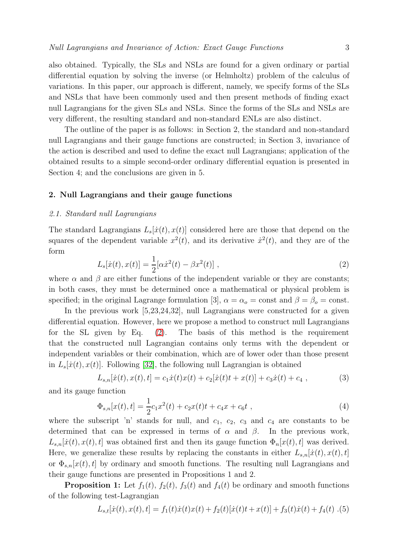also obtained. Typically, the SLs and NSLs are found for a given ordinary or partial differential equation by solving the inverse (or Helmholtz) problem of the calculus of variations. In this paper, our approach is different, namely, we specify forms of the SLs and NSLs that have been commonly used and then present methods of finding exact null Lagrangians for the given SLs and NSLs. Since the forms of the SLs and NSLs are very different, the resulting standard and non-standard ENLs are also distinct.

The outline of the paper is as follows: in Section 2, the standard and non-standard null Lagrangians and their gauge functions are constructed; in Section 3, invariance of the action is described and used to define the exact null Lagrangians; application of the obtained results to a simple second-order ordinary differential equation is presented in Section 4; and the conclusions are given in 5.

# 2. Null Lagrangians and their gauge functions

#### *2.1. Standard null Lagrangians*

The standard Lagrangians  $L_s[x(t), x(t)]$  considered here are those that depend on the squares of the dependent variable  $x^2(t)$ , and its derivative  $\dot{x}^2(t)$ , and they are of the form

<span id="page-2-0"></span>
$$
L_s[\dot{x}(t), x(t)] = \frac{1}{2} [\alpha \dot{x}^2(t) - \beta x^2(t)],
$$
\n(2)

where  $\alpha$  and  $\beta$  are either functions of the independent variable or they are constants; in both cases, they must be determined once a mathematical or physical problem is specified; in the original Lagrange formulation [3],  $\alpha = \alpha_o = \text{const}$  and  $\beta = \beta_o = \text{const}$ .

In the previous work [5,23,24,32], null Lagrangians were constructed for a given differential equation. However, here we propose a method to construct null Lagrangians for the SL given by Eq.  $(2)$ . The basis of this method is the requirement that the constructed null Lagrangian contains only terms with the dependent or independent variables or their combination, which are of lower oder than those present in  $L_s[x(t), x(t)]$ . Following [\[32\]](#page-10-0), the following null Lagrangian is obtained

<span id="page-2-1"></span>
$$
L_{s,n}[\dot{x}(t), x(t), t] = c_1 \dot{x}(t)x(t) + c_2[\dot{x}(t)t + x(t)] + c_3 \dot{x}(t) + c_4 , \qquad (3)
$$

and its gauge function

<span id="page-2-2"></span>
$$
\Phi_{s,n}[x(t),t] = \frac{1}{2}c_1x^2(t) + c_2x(t)t + c_4x + c_6t,
$$
\n(4)

where the subscript 'n' stands for null, and  $c_1$ ,  $c_2$ ,  $c_3$  and  $c_4$  are constants to be determined that can be expressed in terms of  $\alpha$  and  $\beta$ . In the previous work,  $L_{s,n}[ \dot{x}(t), x(t), t]$  was obtained first and then its gauge function  $\Phi_n[x(t), t]$  was derived. Here, we generalize these results by replacing the constants in either  $L_{s,n}[\dot{x}(t), x(t), t]$ or  $\Phi_{s,n}[x(t), t]$  by ordinary and smooth functions. The resulting null Lagrangians and their gauge functions are presented in Propositions 1 and 2.

**Proposition 1:** Let  $f_1(t)$ ,  $f_2(t)$ ,  $f_3(t)$  and  $f_4(t)$  be ordinary and smooth functions of the following test-Lagrangian

$$
L_{s,t}[x(t), x(t), t] = f_1(t)\dot{x}(t)x(t) + f_2(t)[\dot{x}(t)t + x(t)] + f_3(t)\dot{x}(t) + f_4(t) \tag{5}
$$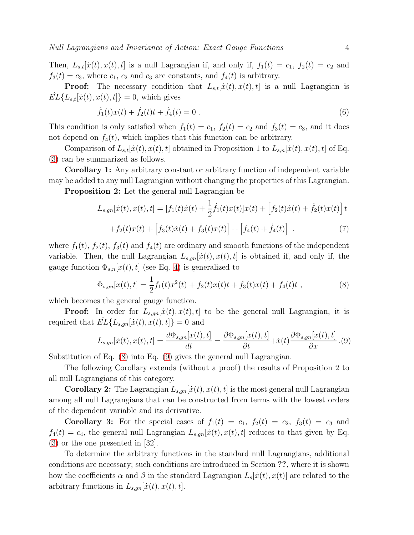Then,  $L_{s,t}[x(t),x(t),t]$  is a null Lagrangian if, and only if,  $f_1(t) = c_1$ ,  $f_2(t) = c_2$  and  $f_3(t) = c_3$ , where  $c_1$ ,  $c_2$  and  $c_3$  are constants, and  $f_4(t)$  is arbitrary.

**Proof:** The necessary condition that  $L_{s,t}[x(t), x(t), t]$  is a null Lagrangian is  $EL{L<sub>s,t</sub>[ $\dot{x}(t), x(t), t$ ]} = 0, which gives$ 

$$
\dot{f}_1(t)x(t) + \dot{f}_2(t)t + \dot{f}_4(t) = 0.
$$
\n(6)

This condition is only satisfied when  $f_1(t) = c_1$ ,  $f_2(t) = c_2$  and  $f_3(t) = c_3$ , and it does not depend on  $f_4(t)$ , which implies that this function can be arbitrary.

Comparison of  $L_{s,t}[{\dot{x}}(t),x(t),t]$  obtained in Proposition 1 to  $L_{s,n}[{\dot{x}}(t),x(t),t]$  of Eq. [\(3\)](#page-2-1) can be summarized as follows.

Corollary 1: Any arbitrary constant or arbitrary function of independent variable may be added to any null Lagrangian without changing the properties of this Lagrangian.

Proposition 2: Let the general null Lagrangian be

<span id="page-3-2"></span>
$$
L_{s,gn}[\dot{x}(t), x(t), t] = [f_1(t)\dot{x}(t) + \frac{1}{2}\dot{f}_1(t)x(t)]x(t) + [f_2(t)\dot{x}(t) + \dot{f}_2(t)x(t)]t + f_2(t)x(t) + [f_3(t)\dot{x}(t) + \dot{f}_3(t)x(t)] + [f_4(t) + \dot{f}_4(t)].
$$
\n(7)

where  $f_1(t)$ ,  $f_2(t)$ ,  $f_3(t)$  and  $f_4(t)$  are ordinary and smooth functions of the independent variable. Then, the null Lagrangian  $L_{s,qn}[\dot{x}(t), x(t), t]$  is obtained if, and only if, the gauge function  $\Phi_{s,n}[x(t), t]$  (see Eq. [4\)](#page-2-2) is generalized to

<span id="page-3-0"></span>
$$
\Phi_{s,gn}[x(t),t] = \frac{1}{2}f_1(t)x^2(t) + f_2(t)x(t)t + f_3(t)x(t) + f_4(t)t,
$$
\n(8)

which becomes the general gauge function.

**Proof:** In order for  $L_{s,qn}[\dot{x}(t),x(t),t]$  to be the general null Lagrangian, it is required that  $EL{L_{s,qn}[*x*(*t*), *x*(*t*), *t*]} = 0$  and

<span id="page-3-1"></span>
$$
L_{s,gn}[\dot{x}(t), x(t), t] = \frac{d\Phi_{s,gn}[x(t), t]}{dt} = \frac{\partial \Phi_{s,gn}[x(t), t]}{\partial t} + \dot{x}(t) \frac{\partial \Phi_{s,gn}[x(t), t]}{\partial x}.
$$
(9)

Substitution of Eq. [\(8\)](#page-3-0) into Eq. [\(9\)](#page-3-1) gives the general null Lagrangian.

The following Corollary extends (without a proof) the results of Proposition 2 to all null Lagrangians of this category.

**Corollary 2:** The Lagrangian  $L_{s,qn}[x(t),x(t),t]$  is the most general null Lagrangian among all null Lagrangians that can be constructed from terms with the lowest orders of the dependent variable and its derivative.

**Corollary 3:** For the special cases of  $f_1(t) = c_1$ ,  $f_2(t) = c_2$ ,  $f_3(t) = c_3$  and  $f_4(t) = c_4$ , the general null Lagrangian  $L_{s,gn}[ \dot{x}(t), x(t), t]$  reduces to that given by Eq.  $(3)$  or the one presented in  $|32|$ .

To determine the arbitrary functions in the standard null Lagrangians, additional conditions are necessary; such conditions are introduced in Section ??, where it is shown how the coefficients  $\alpha$  and  $\beta$  in the standard Lagrangian  $L_s[x(t), x(t)]$  are related to the arbitrary functions in  $L_{s,qn}[\dot{x}(t),x(t),t]$ .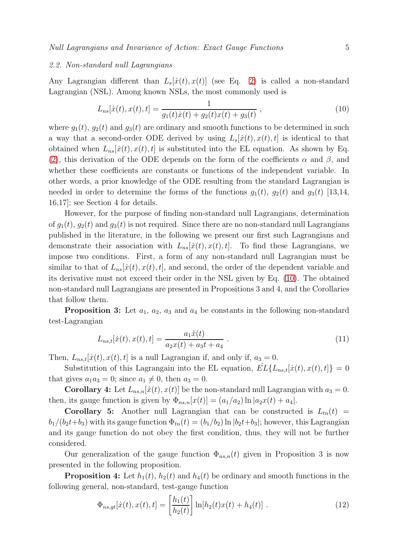#### *2.2. Non-standard null Lagrangians*

Any Lagrangian different than  $L_s[x(t), x(t)]$  (see Eq. [2\)](#page-2-0) is called a non-standard Lagrangian (NSL). Among known NSLs, the most commonly used is

<span id="page-4-0"></span>
$$
L_{ns}[\dot{x}(t), x(t), t] = \frac{1}{g_1(t)\dot{x}(t) + g_2(t)x(t) + g_3(t)},
$$
\n(10)

where  $g_1(t)$ ,  $g_2(t)$  and  $g_3(t)$  are ordinary and smooth functions to be determined in such a way that a second-order ODE derived by using  $L_s[x(t), x(t), t]$  is identical to that obtained when  $L_{ns}[{\dot{x}}(t),x(t),t]$  is substituted into the EL equation. As shown by Eq. [\(2\)](#page-2-0), this derivation of the ODE depends on the form of the coefficients  $\alpha$  and  $\beta$ , and whether these coefficients are constants or functions of the independent variable. In other words, a prior knowledge of the ODE resulting from the standard Lagrangian is needed in order to determine the forms of the functions  $g_1(t)$ ,  $g_2(t)$  and  $g_3(t)$  [13,14, 16,17]; see Section 4 for details.

However, for the purpose of finding non-standard null Lagrangians, determination of  $g_1(t)$ ,  $g_2(t)$  and  $g_3(t)$  is not required. Since there are no non-standard null Lagrangians published in the literature, in the following we present our first such Lagrangians and demonstrate their association with  $L_{ns}[*x*(*t*), *x*(*t*), *t*].$  To find these Lagrangians, we impose two conditions. First, a form of any non-standard null Lagrangian must be similar to that of  $L_{ns}[*x*(*t*), *x*(*t*), *t*],$  and second, the order of the dependent variable and its derivative must not exceed their order in the NSL given by Eq. [\(10\)](#page-4-0). The obtained non-standard null Lagrangians are presented in Propositions 3 and 4, and the Corollaries that follow them.

**Proposition 3:** Let  $a_1$ ,  $a_2$ ,  $a_3$  and  $a_4$  be constants in the following non-standard test-Lagrangian

$$
L_{ns,t}[x(t), x(t), t] = \frac{a_1 \dot{x}(t)}{a_2 x(t) + a_3 t + a_4} \,. \tag{11}
$$

Then,  $L_{ns,t}[ \dot{x}(t), x(t), t]$  is a null Lagrangian if, and only if,  $a_3 = 0$ .

Substitution of this Lagrangain into the EL equation,  $\hat{EL}\lbrace L_{ns,t}[ \dot{x}(t), x(t), t] \rbrace = 0$ that gives  $a_1a_3 = 0$ ; since  $a_1 \neq 0$ , then  $a_3 = 0$ .

**Corollary 4:** Let  $L_{ns,n}[x(t),x(t)]$  be the non-standard null Lagrangian with  $a_3 = 0$ . then, its gauge function is given by  $\Phi_{ns,n}[x(t)] = (a_1/a_2) \ln |a_2x(t) + a_4|$ .

Corollary 5: Another null Lagrangian that can be constructed is  $L_{tn}(t)$  =  $b_1/(b_2t+b_3)$  with its gauge function  $\Phi_{tn}(t) = (b_1/b_2) \ln |b_2t+b_3|$ ; however, this Lagrangian and its gauge function do not obey the first condition, thus, they will not be further considered.

Our generalization of the gauge function  $\Phi_{ns,n}(t)$  given in Proposition 3 is now presented in the following proposition.

**Proposition 4:** Let  $h_1(t)$ ,  $h_2(t)$  and  $h_4(t)$  be ordinary and smooth functions in the following general, non-standard, test-gauge function

<span id="page-4-1"></span>
$$
\Phi_{ns,gt}[x(t), x(t), t] = \left[\frac{h_1(t)}{h_2(t)}\right] \ln[h_2(t)x(t) + h_4(t)]. \tag{12}
$$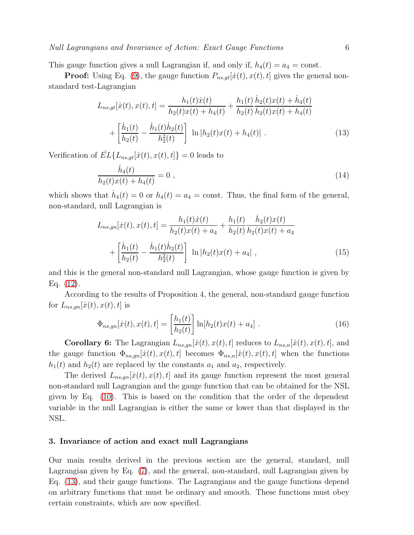# *Null Lagrangians and Invariance of Action: Exact Gauge Functions* 6

This gauge function gives a null Lagrangian if, and only if,  $h_4(t) = a_4 = \text{const.}$ 

**Proof:** Using Eq. [\(9\)](#page-3-1), the gauge function  $P_{ns,qt}[i(t), x(t), t]$  gives the general nonstandard test-Lagrangian

<span id="page-5-0"></span>
$$
L_{ns,gt}[x(t), x(t), t] = \frac{h_1(t)\dot{x}(t)}{h_2(t)x(t) + h_4(t)} + \frac{h_1(t)}{h_2(t)}\frac{\dot{h}_2(t)x(t) + \dot{h}_4(t)}{h_2(t)x(t) + h_4(t)} + \left[\frac{\dot{h}_1(t)}{h_2(t)} - \frac{\dot{h}_1(t)\dot{h}_2(t)}{h_2(t)}\right] \ln|h_2(t)x(t) + h_4(t)|.
$$
\n(13)

Verification of  $\hat{EL}\{L_{ns,qt}[x(t),x(t),t]\}=0$  leads to

$$
\frac{\dot{h}_4(t)}{h_2(t)x(t) + h_4(t)} = 0 ,
$$
\n(14)

which shows that  $\dot{h}_4(t) = 0$  or  $h_4(t) = a_4 = \text{const.}$  Thus, the final form of the general, non-standard, null Lagrangian is

<span id="page-5-1"></span>
$$
L_{ns,gn}[\dot{x}(t), x(t), t] = \frac{h_1(t)\dot{x}(t)}{h_2(t)x(t) + a_4} + \frac{h_1(t)}{h_2(t)} \frac{\dot{h}_2(t)x(t)}{h_2(t)x(t) + a_4}
$$

$$
+ \left[ \frac{\dot{h}_1(t)}{h_2(t)} - \frac{\dot{h}_1(t)\dot{h}_2(t)}{h_2(t)} \right] \ln |h_2(t)x(t) + a_4| , \qquad (15)
$$

and this is the general non-standard null Lagrangian, whose gauge function is given by Eq. [\(12\)](#page-4-1).

According to the results of Proposition 4, the general, non-standard gauge function for  $L_{ns,qn}[\dot{x}(t), x(t), t]$  is

<span id="page-5-2"></span>
$$
\Phi_{ns,gn}[x(t), x(t), t] = \left[\frac{h_1(t)}{h_2(t)}\right] \ln[h_2(t)x(t) + a_4].
$$
\n(16)

**Corollary 6:** The Lagrangian  $L_{ns,gn}[ \dot{x}(t), x(t), t]$  reduces to  $L_{ns,n}[ \dot{x}(t), x(t), t]$ , and the gauge function  $\Phi_{ns,gn}[\dot{x}(t), x(t), t]$  becomes  $\Phi_{ns,n}[\dot{x}(t), x(t), t]$  when the functions  $h_1(t)$  and  $h_2(t)$  are replaced by the constants  $a_1$  and  $a_2$ , respectively.

The derived  $L_{ns,gn}[\dot{x}(t), x(t), t]$  and its gauge function represent the most general non-standard null Lagrangian and the gauge function that can be obtained for the NSL given by Eq. [\(10\)](#page-4-0). This is based on the condition that the order of the dependent variable in the null Lagrangian is either the same or lower than that displayed in the NSL.

### 3. Invariance of action and exact null Lagrangians

Our main results derived in the previous section are the general, standard, null Lagrangian given by Eq. [\(7\)](#page-3-2), and the general, non-standard, null Lagrangian given by Eq. [\(13\)](#page-5-0), and their gauge functions. The Lagrangians and the gauge functions depend on arbitrary functions that must be ordinary and smooth. These functions must obey certain constraints, which are now specified.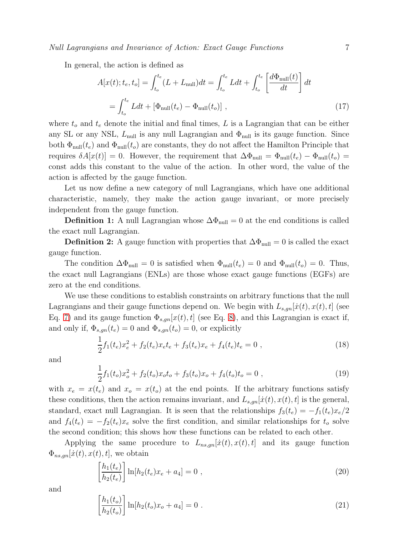*Null Lagrangians and Invariance of Action: Exact Gauge Functions* 7

In general, the action is defined as

$$
A[x(t); t_e, t_o] = \int_{t_o}^{t_e} (L + L_{\text{null}}) dt = \int_{t_o}^{t_e} L dt + \int_{t_o}^{t_e} \left[ \frac{d\Phi_{\text{null}}(t)}{dt} \right] dt
$$

$$
= \int_{t_o}^{t_e} L dt + \left[ \Phi_{\text{null}}(t_e) - \Phi_{\text{null}}(t_o) \right], \tag{17}
$$

where  $t_o$  and  $t_e$  denote the initial and final times, L is a Lagrangian that can be either any SL or any NSL,  $L_{\text{null}}$  is any null Lagrangian and  $\Phi_{\text{null}}$  is its gauge function. Since both  $\Phi_{\text{null}}(t_e)$  and  $\Phi_{\text{null}}(t_o)$  are constants, they do not affect the Hamilton Principle that requires  $\delta A[x(t)] = 0$ . However, the requirement that  $\Delta \Phi_{\text{null}} = \Phi_{\text{null}}(t_e) - \Phi_{\text{null}}(t_o) =$ const adds this constant to the value of the action. In other word, the value of the action is affected by the gauge function.

Let us now define a new category of null Lagrangians, which have one additional characteristic, namely, they make the action gauge invariant, or more precisely independent from the gauge function.

**Definition 1:** A null Lagrangian whose  $\Delta\Phi_{\text{null}} = 0$  at the end conditions is called the exact null Lagrangian.

**Definition 2:** A gauge function with properties that  $\Delta\Phi_{\text{null}} = 0$  is called the exact gauge function.

The condition  $\Delta\Phi_{\text{null}} = 0$  is satisfied when  $\Phi_{\text{null}}(t_e) = 0$  and  $\Phi_{\text{null}}(t_o) = 0$ . Thus, the exact null Lagrangians (ENLs) are those whose exact gauge functions (EGFs) are zero at the end conditions.

We use these conditions to establish constraints on arbitrary functions that the null Lagrangians and their gauge functions depend on. We begin with  $L_{s,gn}[ \dot{x}(t), x(t), t]$  (see Eq. [7\)](#page-3-2) and its gauge function  $\Phi_{s,qn}[x(t), t]$  (see Eq. [8\)](#page-3-0), and this Lagrangian is exact if, and only if,  $\Phi_{s,qn}(t_e) = 0$  and  $\Phi_{s,qn}(t_o) = 0$ , or explicitly

<span id="page-6-0"></span>
$$
\frac{1}{2}f_1(t_e)x_e^2 + f_2(t_e)x_e t_e + f_3(t_e)x_e + f_4(t_e)t_e = 0,
$$
\n(18)

and

<span id="page-6-1"></span>
$$
\frac{1}{2}f_1(t_o)x_o^2 + f_2(t_o)x_o t_o + f_3(t_o)x_o + f_4(t_o)t_o = 0,
$$
\n(19)

with  $x_e = x(t_e)$  and  $x_o = x(t_o)$  at the end points. If the arbitrary functions satisfy these conditions, then the action remains invariant, and  $L_{s,gn}[ \dot{x}(t), x(t), t]$  is the general, standard, exact null Lagrangian. It is seen that the relationships  $f_3(t_e) = -f_1(t_e)x_e/2$ and  $f_4(t_e) = -f_2(t_e)x_e$  solve the first condition, and similar relationships for  $t_o$  solve the second condition; this shows how these functions can be related to each other.

Applying the same procedure to  $L_{ns,qn}[\dot{x}(t), x(t), t]$  and its gauge function  $\Phi_{ns,gn}[\dot{x}(t), x(t), t]$ , we obtain

<span id="page-6-2"></span>
$$
\left[\frac{h_1(t_e)}{h_2(t_e)}\right] \ln[h_2(t_e)x_e + a_4] = 0 ,
$$
\n(20)

and

<span id="page-6-3"></span>
$$
\left[\frac{h_1(t_o)}{h_2(t_o)}\right] \ln[h_2(t_o)x_o + a_4] = 0.
$$
\n(21)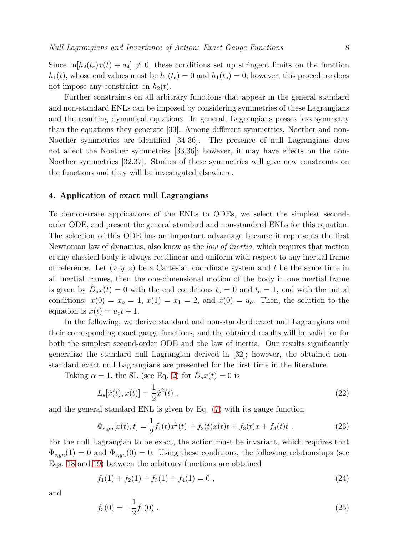Since  $\ln[h_2(t_e)x(t) + a_4] \neq 0$ , these conditions set up stringent limits on the function  $h_1(t)$ , whose end values must be  $h_1(t_e) = 0$  and  $h_1(t_o) = 0$ ; however, this procedure does not impose any constraint on  $h_2(t)$ .

Further constraints on all arbitrary functions that appear in the general standard and non-standard ENLs can be imposed by considering symmetries of these Lagrangians and the resulting dynamical equations. In general, Lagrangians posses less symmetry than the equations they generate [33]. Among different symmetries, Noether and non-Noether symmetries are identified [34-36]. The presence of null Lagrangians does not affect the Noether symmetries [33,36]; however, it may have effects on the non-Noether symmetries [32,37]. Studies of these symmetries will give new constraints on the functions and they will be investigated elsewhere.

#### 4. Application of exact null Lagrangians

To demonstrate applications of the ENLs to ODEs, we select the simplest secondorder ODE, and present the general standard and non-standard ENLs for this equation. The selection of this ODE has an important advantage because it represents the first Newtonian law of dynamics, also know as the *law of inertia*, which requires that motion of any classical body is always rectilinear and uniform with respect to any inertial frame of reference. Let  $(x, y, z)$  be a Cartesian coordinate system and t be the same time in all inertial frames, then the one-dimensional motion of the body in one inertial frame is given by  $\hat{D}_o x(t) = 0$  with the end conditions  $t_o = 0$  and  $t_e = 1$ , and with the initial conditions:  $x(0) = x_0 = 1$ ,  $x(1) = x_1 = 2$ , and  $\dot{x}(0) = u_0$ . Then, the solution to the equation is  $x(t) = u<sub>o</sub>t + 1$ .

In the following, we derive standard and non-standard exact null Lagrangians and their corresponding exact gauge functions, and the obtained results will be valid for for both the simplest second-order ODE and the law of inertia. Our results significantly generalize the standard null Lagrangian derived in [32]; however, the obtained nonstandard exact null Lagrangians are presented for the first time in the literature.

Taking  $\alpha = 1$ , the SL (see Eq. [2\)](#page-2-0) for  $\hat{D}_o x(t) = 0$  is

<span id="page-7-0"></span>
$$
L_s[\dot{x}(t), x(t)] = \frac{1}{2}\dot{x}^2(t) , \qquad (22)
$$

and the general standard ENL is given by Eq. [\(7\)](#page-3-2) with its gauge function

$$
\Phi_{s,gn}[x(t),t] = \frac{1}{2}f_1(t)x^2(t) + f_2(t)x(t)t + f_3(t)x + f_4(t)t.
$$
\n(23)

For the null Lagrangian to be exact, the action must be invariant, which requires that  $\Phi_{s,gn}(1) = 0$  and  $\Phi_{s,gn}(0) = 0$ . Using these conditions, the following relationships (see Eqs. [18](#page-6-0) and [19\)](#page-6-1) between the arbitrary functions are obtained

$$
f_1(1) + f_2(1) + f_3(1) + f_4(1) = 0,
$$
\n(24)

and

$$
f_3(0) = -\frac{1}{2}f_1(0) \tag{25}
$$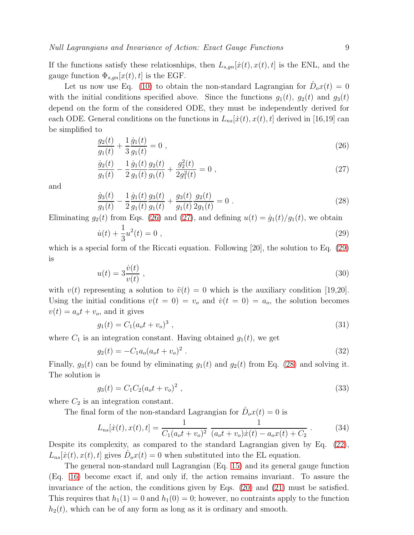If the functions satisfy these relatiosnhips, then  $L_{s,gn}[ \dot{x}(t), x(t), t]$  is the ENL, and the gauge function  $\Phi_{s,gn}[x(t), t]$  is the EGF.

Let us now use Eq. [\(10\)](#page-4-0) to obtain the non-standard Lagrangian for  $\hat{D}_o x(t) = 0$ with the initial conditions specified above. Since the functions  $g_1(t)$ ,  $g_2(t)$  and  $g_3(t)$ depend on the form of the considered ODE, they must be independently derived for each ODE. General conditions on the functions in  $L_{ns}[{\dot{x}}(t),x(t),t]$  derived in [16,19] can be simplified to

<span id="page-8-0"></span>
$$
\frac{g_2(t)}{g_1(t)} + \frac{1}{3} \frac{\dot{g}_1(t)}{g_1(t)} = 0 ,
$$
\n(26)

<span id="page-8-1"></span>
$$
\frac{\dot{g}_2(t)}{g_1(t)} - \frac{1}{2} \frac{\dot{g}_1(t)}{g_1(t)} \frac{g_2(t)}{g_1(t)} + \frac{g_2^2(t)}{2g_1^2(t)} = 0 ,
$$
\n(27)

and

<span id="page-8-3"></span>
$$
\frac{\dot{g}_3(t)}{g_1(t)} - \frac{1}{2} \frac{\dot{g}_1(t)}{g_1(t)} \frac{g_3(t)}{g_1(t)} + \frac{g_3(t)}{g_1(t)} \frac{g_2(t)}{2g_1(t)} = 0.
$$
\n(28)

Eliminating  $g_2(t)$  from Eqs. [\(26\)](#page-8-0) and [\(27\)](#page-8-1), and defining  $u(t) = \dot{g}_1(t)/g_1(t)$ , we obtain

<span id="page-8-2"></span>
$$
\dot{u}(t) + \frac{1}{3}u^2(t) = 0 \tag{29}
$$

which is a special form of the Riccati equation. Following [20], the solution to Eq. [\(29\)](#page-8-2) is

$$
u(t) = 3\frac{\dot{v}(t)}{v(t)},
$$
\n(30)

with  $v(t)$  representing a solution to  $\ddot{v}(t) = 0$  which is the auxiliary condition [19,20]. Using the initial conditions  $v(t = 0) = v<sub>o</sub>$  and  $\dot{v}(t = 0) = a<sub>o</sub>$ , the solution becomes  $v(t) = a_0 t + v_0$ , and it gives

$$
g_1(t) = C_1(a_0 t + v_0)^3 \t\t(31)
$$

where  $C_1$  is an integration constant. Having obtained  $g_1(t)$ , we get

$$
g_2(t) = -C_1 a_o (a_o t + v_o)^2.
$$
 (32)

Finally,  $g_3(t)$  can be found by eliminating  $g_1(t)$  and  $g_2(t)$  from Eq. [\(28\)](#page-8-3) and solving it. The solution is

$$
g_3(t) = C_1 C_2 (a_0 t + v_0)^2 \t\t(33)
$$

where  $C_2$  is an integration constant.

The final form of the non-standard Lagrangian for  $\hat{D}_o x(t) = 0$  is

$$
L_{ns}[\dot{x}(t), x(t), t] = \frac{1}{C_1(a_0 t + v_0)^2} \frac{1}{(a_0 t + v_0)\dot{x}(t) - a_0 x(t) + C_2}.
$$
 (34)

Despite its complexity, as compared to the standard Lagrangian given by Eq. [\(22\)](#page-7-0),  $L_{ns}[{\dot{x}}(t),x(t),t]$  gives  $\hat{D}_o x(t) = 0$  when substituted into the EL equation.

The general non-standard null Lagrangian (Eq. [15\)](#page-5-1) and its general gauge function (Eq. [16\)](#page-5-2) become exact if, and only if, the action remains invariant. To assure the invariance of the action, the conditions given by Eqs. [\(20\)](#page-6-2) and [\(21\)](#page-6-3) must be satisfied. This requires that  $h_1(1) = 0$  and  $h_1(0) = 0$ ; however, no contraints apply to the function  $h_2(t)$ , which can be of any form as long as it is ordinary and smooth.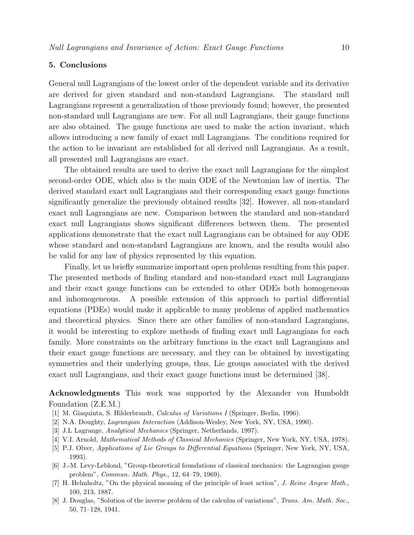# 5. Conclusions

General null Lagrangians of the lowest order of the dependent variable and its derivative are derived for given standard and non-standard Lagrangians. The standard null Lagrangians represent a generalization of those previously found; however, the presented non-standard null Lagrangians are new. For all null Lagrangians, their gauge functions are also obtained. The gauge functions are used to make the action invariant, which allows introducing a new family of exact null Lagrangians. The conditions required for the action to be invariant are established for all derived null Lagrangians. As a result, all presented null Lagrangians are exact.

The obtained results are used to derive the exact null Lagrangians for the simplest second-order ODE, which also is the main ODE of the Newtonian law of inertia. The derived standard exact null Lagrangians and their corresponding exact gauge functions significantly generalize the previously obtained results [32]. However, all non-standard exact null Lagrangians are new. Comparison between the standard and non-standard exact null Lagrangians shows significant differences between them. The presented applications demonstrate that the exact null Lagrangians can be obtained for any ODE whose standard and non-standard Lagrangians are known, and the results would also be valid for any law of physics represented by this equation.

Finally, let us briefly summarize important open problems resulting from this paper. The presented methods of finding standard and non-standard exact null Lagrangians and their exact gauge functions can be extended to other ODEs both homogeneous and inhomogeneous. A possible extension of this approach to partial differential equations (PDEs) would make it applicable to many problems of applied mathematics and theoretical physics. Since there are other families of non-standard Lagrangians, it would be interesting to explore methods of finding exact null Lagrangians for each family. More constraints on the arbitrary functions in the exact null Lagrangians and their exact gauge functions are necessary, and they can be obtained by investigating symmetries and their underlying groups, thus, Lie groups associated with the derived exact null Lagrangians, and their exact gauge functions must be determined [38].

Acknowledgments This work was supported by the Alexander von Humboldt Foundation (Z.E.M.)

- [1] M. Giaquinta, S. Hilderbrandt, Calculus of Variations I (Springer, Berlin, 1996).
- [2] N.A. Doughty, Lagrangian Interaction (Addison-Wesley, New York, NY, USA, 1990).
- [3] J.L Lagrange, Analytical Mechanics (Springer, Netherlands, 1997).
- [4] V.I. Arnold, Mathematical Methods of Classical Mechanics (Springer, New York, NY, USA, 1978).
- [5] P.J. Olver, Applications of Lie Groups to Differential Equations (Springer, New York, NY, USA, 1993).
- [6] J.-M. Levy-Leblond, "Group-theoretical foundations of classical mechanics: the Lagrangian gauge problem", Commun. Math. Phys., 12, 64–79, 1969).
- [7] H. Helmholtz, "On the physical meaning of the principle of least action", J. Reine Angew Math., 100, 213, 1887.
- [8] J. Douglas, "Solution of the inverse problem of the calculus of variations", Trans. Am. Math. Soc., 50, 71–128, 1941.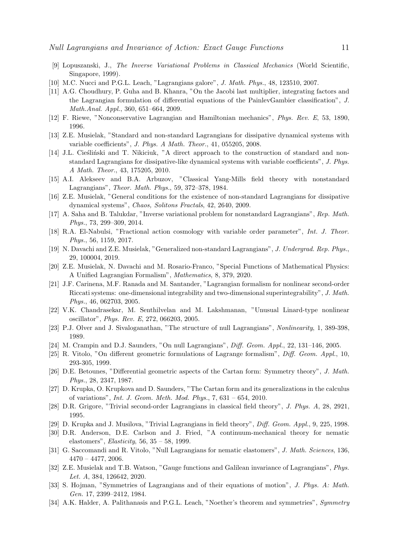- [9] Lopuszanski, J., The Inverse Variational Problems in Classical Mechanics (World Scientific, Singapore, 1999).
- [10] M.C. Nucci and P.G.L. Leach, "Lagrangians galore", J. Math. Phys., 48, 123510, 2007.
- [11] A.G. Choudhury, P. Guha and B. Khanra, "On the Jacobi last multiplier, integrating factors and the Lagrangian formulation of differential equations of the PainlevGambier classification", J. Math.Anal. Appl., 360, 651–664, 2009.
- [12] F. Riewe, "Nonconservative Lagrangian and Hamiltonian mechanics", Phys. Rev. E, 53, 1890, 1996.
- [13] Z.E. Musielak, "Standard and non-standard Lagrangians for dissipative dynamical systems with variable coefficients", J. Phys. A Math. Theor., 41, 055205, 2008.
- [14] J.L. Ciestinski and T. Nikiciuk, "A direct approach to the construction of standard and nonstandard Lagrangians for dissipative-like dynamical systems with variable coefficients", J. Phys. A Math. Theor., 43, 175205, 2010.
- [15] A.I. Alekseev and B.A. Arbuzov, "Classical Yang-Mills field theory with nonstandard Lagrangians", Theor. Math. Phys., 59, 372–378, 1984.
- [16] Z.E. Musielak, "General conditions for the existence of non-standard Lagrangians for dissipative dynamical systems", Chaos, Solitons Fractals, 42, 2640, 2009.
- [17] A. Saha and B. Talukdar, "Inverse variational problem for nonstandard Lagrangians", Rep. Math. Phys., 73, 299–309, 2014.
- [18] R.A. El-Nabulsi, "Fractional action cosmology with variable order parameter", Int. J. Theor. Phys., 56, 1159, 2017.
- [19] N. Davachi and Z.E. Musielak, "Generalized non-standard Lagrangians", J. Undergrad. Rep. Phys., 29, 100004, 2019.
- [20] Z.E. Musielak, N. Davachi and M. Rosario-Franco, "Special Functions of Mathematical Physics: A Unified Lagrangian Formalism", Mathematics, 8, 379, 2020.
- [21] J.F. Carinena, M.F. Ranada and M. Santander, "Lagrangian formalism for nonlinear second-order Riccati systems: one-dimensional integrability and two-dimensional superintegrability", J. Math. Phys., 46, 062703, 2005.
- [22] V.K. Chandrasekar, M. Senthilvelan and M. Lakshmanan, "Unusual Linard-type nonlinear oscillator", Phys. Rev. E, 272, 066203, 2005.
- [23] P.J. Olver and J. Sivaloganathan, "The structure of null Lagrangians", Nonlinearity, 1, 389-398, 1989.
- [24] M. Crampin and D.J. Saunders, "On null Lagrangians", Diff. Geom. Appl., 22, 131–146, 2005.
- [25] R. Vitolo, "On different geometric formulations of Lagrange formalism", Diff. Geom. Appl., 10, 293-305, 1999.
- [26] D.E. Betounes, "Differential geometric aspects of the Cartan form: Symmetry theory", J. Math. Phys., 28, 2347, 1987.
- [27] D. Krupka, O. Krupkova and D. Saunders, "The Cartan form and its generalizations in the calculus of variations", Int. J. Geom. Meth. Mod. Phys., 7, 631 – 654, 2010.
- [28] D.R. Grigore, "Trivial second-order Lagrangians in classical field theory", J. Phys. A, 28, 2921, 1995.
- [29] D. Krupka and J. Musilova, "Trivial Lagrangians in field theory", Diff. Geom. Appl., 9, 225, 1998.
- [30] D.R. Anderson, D.E. Carlson and J. Fried, "A continuum-mechanical theory for nematic elastomers", Elasticity, 56, 35 – 58, 1999.
- [31] G. Saccomandi and R. Vitolo, "Null Lagrangians for nematic elastomers", J. Math. Sciences, 136,  $4470 - 4477, 2006.$
- <span id="page-10-0"></span>[32] Z.E. Musielak and T.B. Watson, "Gauge functions and Galilean invariance of Lagrangians", Phys. Let. A, 384, 126642, 2020.
- [33] S. Hojman, "Symmetries of Lagrangians and of their equations of motion", J. Phys. A: Math. Gen. 17, 2399–2412, 1984.
- [34] A.K. Halder, A. Palithanasis and P.G.L. Leach, "Noether's theorem and symmetries", Symmetry